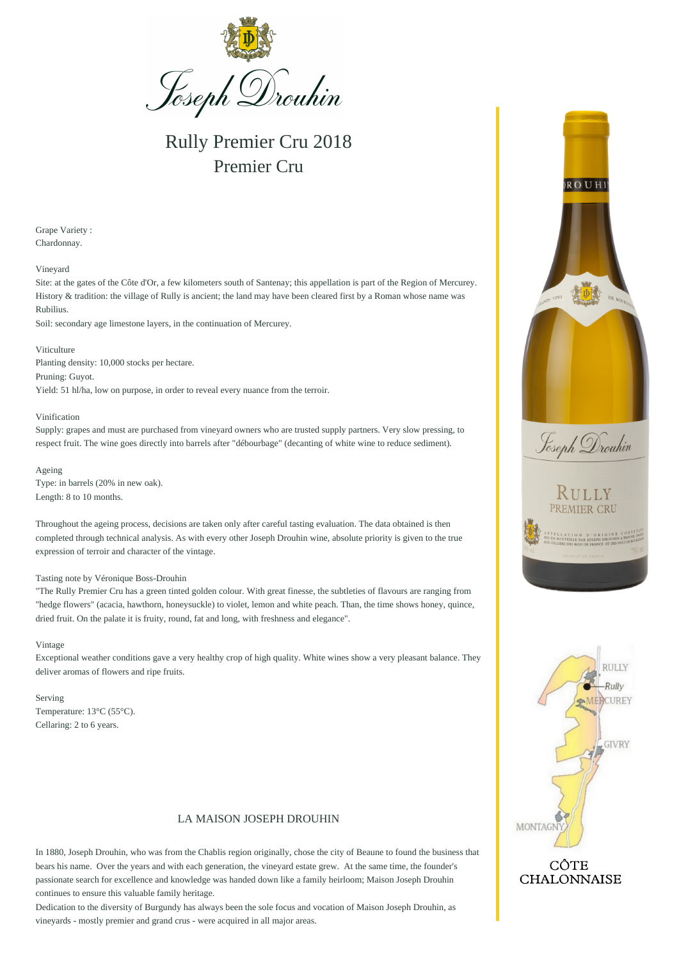

Rully Premier Cru 2018 Premier Cru

Grape Variety : Chardonnay.

Vineyard

Site: at the gates of the Côte d'Or, a few kilometers south of Santenay; this appellation is part of the Region of Mercurey. History & tradition: the village of Rully is ancient; the land may have been cleared first by a Roman whose name was Rubilius.

Soil: secondary age limestone layers, in the continuation of Mercurey.

Viticulture Planting density: 10,000 stocks per hectare. Pruning: Guyot. Yield: 51 hl/ha, low on purpose, in order to reveal every nuance from the terroir.

Vinification

Supply: grapes and must are purchased from vineyard owners who are trusted supply partners. Very slow pressing, to respect fruit. The wine goes directly into barrels after "débourbage" (decanting of white wine to reduce sediment).

Ageing Type: in barrels (20% in new oak). Length: 8 to 10 months.

Throughout the ageing process, decisions are taken only after careful tasting evaluation. The data obtained is then completed through technical analysis. As with every other Joseph Drouhin wine, absolute priority is given to the true expression of terroir and character of the vintage.

## Tasting note by Véronique Boss-Drouhin

"The Rully Premier Cru has a green tinted golden colour. With great finesse, the subtleties of flavours are ranging from "hedge flowers" (acacia, hawthorn, honeysuckle) to violet, lemon and white peach. Than, the time shows honey, quince, dried fruit. On the palate it is fruity, round, fat and long, with freshness and elegance".

Vintage

Exceptional weather conditions gave a very healthy crop of high quality. White wines show a very pleasant balance. They deliver aromas of flowers and ripe fruits.

Serving Temperature: 13°C (55°C). Cellaring: 2 to 6 years.

## LA MAISON JOSEPH DROUHIN

In 1880, Joseph Drouhin, who was from the Chablis region originally, chose the city of Beaune to found the business that bears his name. Over the years and with each generation, the vineyard estate grew. At the same time, the founder's passionate search for excellence and knowledge was handed down like a family heirloom; Maison Joseph Drouhin continues to ensure this valuable family heritage.

Dedication to the diversity of Burgundy has always been the sole focus and vocation of Maison Joseph Drouhin, as vineyards - mostly premier and grand crus - were acquired in all major areas.





## CÔTE **CHALONNAISE**